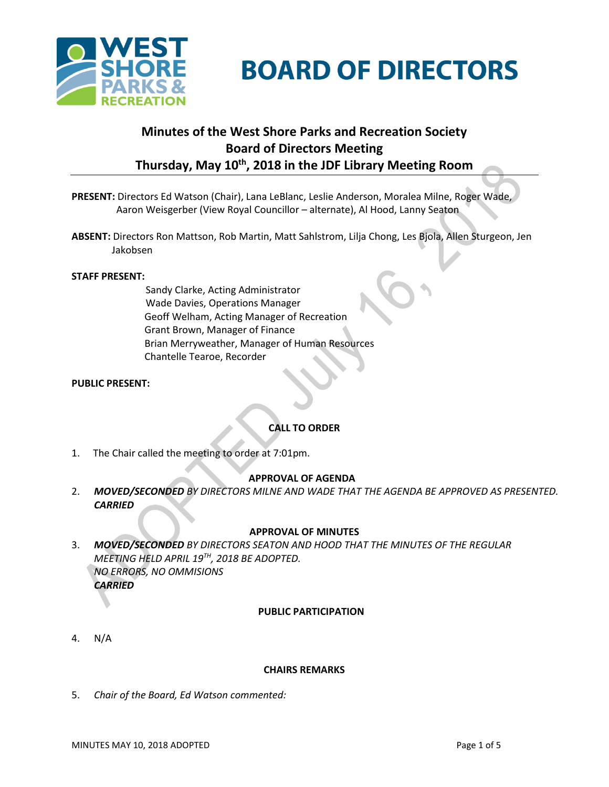

# **BOARD OF DIRECTORS**

# **Minutes of the West Shore Parks and Recreation Society Board of Directors Meeting Thursday, May 10th , 2018 in the JDF Library Meeting Room**

- **PRESENT:** Directors Ed Watson (Chair), Lana LeBlanc, Leslie Anderson, Moralea Milne, Roger Wade, Aaron Weisgerber (View Royal Councillor – alternate), Al Hood, Lanny Seaton
- **ABSENT:** Directors Ron Mattson, Rob Martin, Matt Sahlstrom, Lilja Chong, Les Bjola, Allen Sturgeon, Jen Jakobsen

#### **STAFF PRESENT:**

Sandy Clarke, Acting Administrator Wade Davies, Operations Manager Geoff Welham, Acting Manager of Recreation Grant Brown, Manager of Finance Brian Merryweather, Manager of Human Resources Chantelle Tearoe, Recorder

#### **PUBLIC PRESENT:**

# **CALL TO ORDER**

1. The Chair called the meeting to order at 7:01pm.

# **APPROVAL OF AGENDA**

2. *MOVED/SECONDED BY DIRECTORS MILNE AND WADE THAT THE AGENDA BE APPROVED AS PRESENTED. CARRIED*

# **APPROVAL OF MINUTES**

3. *MOVED/SECONDED BY DIRECTORS SEATON AND HOOD THAT THE MINUTES OF THE REGULAR MEETING HELD APRIL 19TH , 2018 BE ADOPTED. NO ERRORS, NO OMMISIONS CARRIED*

#### **PUBLIC PARTICIPATION**

4. N/A

#### **CHAIRS REMARKS**

5. *Chair of the Board, Ed Watson commented:*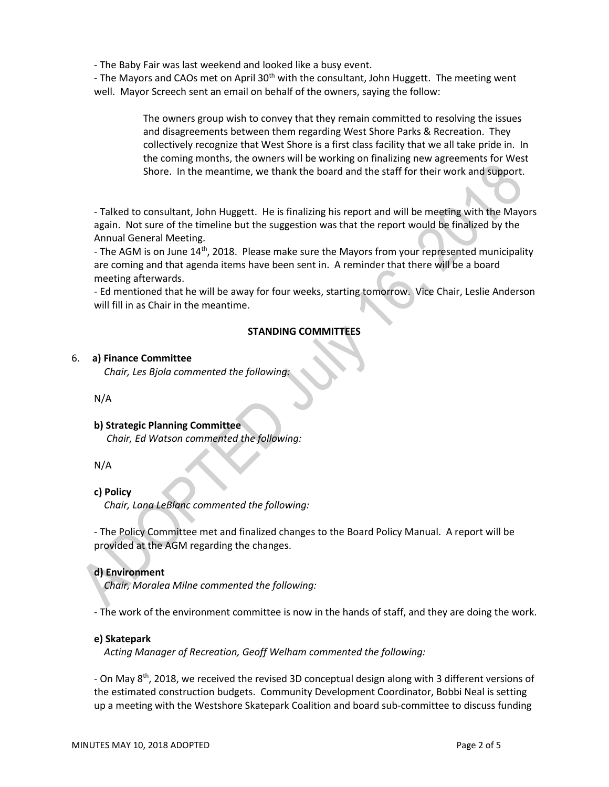- The Baby Fair was last weekend and looked like a busy event.

- The Mayors and CAOs met on April 30<sup>th</sup> with the consultant, John Huggett. The meeting went well. Mayor Screech sent an email on behalf of the owners, saying the follow:

> The owners group wish to convey that they remain committed to resolving the issues and disagreements between them regarding West Shore Parks & Recreation. They collectively recognize that West Shore is a first class facility that we all take pride in. In the coming months, the owners will be working on finalizing new agreements for West Shore. In the meantime, we thank the board and the staff for their work and support.

- Talked to consultant, John Huggett. He is finalizing his report and will be meeting with the Mayors again. Not sure of the timeline but the suggestion was that the report would be finalized by the Annual General Meeting.

- The AGM is on June 14<sup>th</sup>, 2018. Please make sure the Mayors from your represented municipality are coming and that agenda items have been sent in. A reminder that there will be a board meeting afterwards.

- Ed mentioned that he will be away for four weeks, starting tomorrow. Vice Chair, Leslie Anderson will fill in as Chair in the meantime.

# **STANDING COMMITTEES**

# 6. **a) Finance Committee**

*Chair, Les Bjola commented the following:*

N/A

# **b) Strategic Planning Committee**

*Chair, Ed Watson commented the following:*

N/A

# **c) Policy**

 *Chair, Lana LeBlanc commented the following:*

- The Policy Committee met and finalized changes to the Board Policy Manual. A report will be provided at the AGM regarding the changes.

# **d) Environment**

 *Chair, Moralea Milne commented the following:*

- The work of the environment committee is now in the hands of staff, and they are doing the work.

# **e) Skatepark**

 *Acting Manager of Recreation, Geoff Welham commented the following:*

- On May 8th, 2018, we received the revised 3D conceptual design along with 3 different versions of the estimated construction budgets. Community Development Coordinator, Bobbi Neal is setting up a meeting with the Westshore Skatepark Coalition and board sub-committee to discuss funding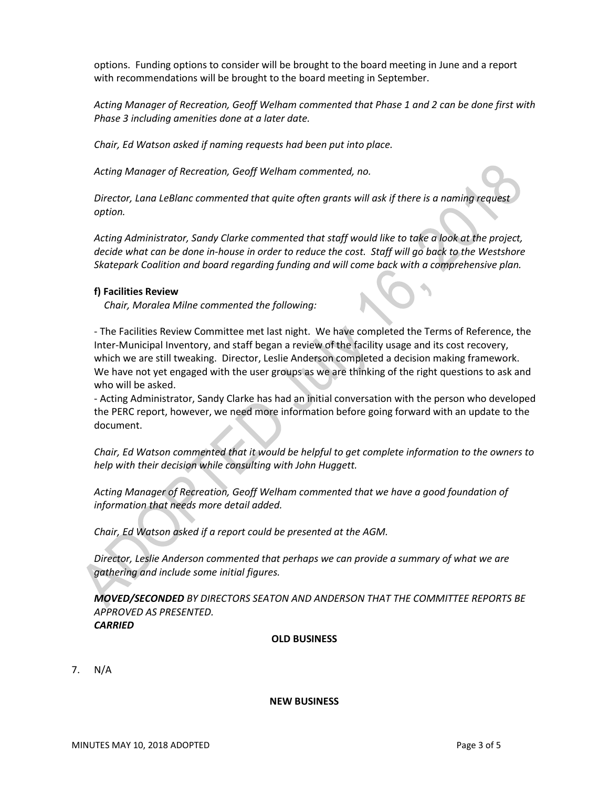options. Funding options to consider will be brought to the board meeting in June and a report with recommendations will be brought to the board meeting in September.

*Acting Manager of Recreation, Geoff Welham commented that Phase 1 and 2 can be done first with Phase 3 including amenities done at a later date.*

*Chair, Ed Watson asked if naming requests had been put into place.*

*Acting Manager of Recreation, Geoff Welham commented, no.*

*Director, Lana LeBlanc commented that quite often grants will ask if there is a naming request option.*

*Acting Administrator, Sandy Clarke commented that staff would like to take a look at the project, decide what can be done in-house in order to reduce the cost. Staff will go back to the Westshore Skatepark Coalition and board regarding funding and will come back with a comprehensive plan.*

#### **f) Facilities Review**

 *Chair, Moralea Milne commented the following:*

- The Facilities Review Committee met last night. We have completed the Terms of Reference, the Inter-Municipal Inventory, and staff began a review of the facility usage and its cost recovery, which we are still tweaking. Director, Leslie Anderson completed a decision making framework. We have not yet engaged with the user groups as we are thinking of the right questions to ask and who will be asked.

- Acting Administrator, Sandy Clarke has had an initial conversation with the person who developed the PERC report, however, we need more information before going forward with an update to the document.

*Chair, Ed Watson commented that it would be helpful to get complete information to the owners to help with their decision while consulting with John Huggett.*

*Acting Manager of Recreation, Geoff Welham commented that we have a good foundation of information that needs more detail added.*

*Chair, Ed Watson asked if a report could be presented at the AGM.*

*Director, Leslie Anderson commented that perhaps we can provide a summary of what we are gathering and include some initial figures.*

*MOVED/SECONDED BY DIRECTORS SEATON AND ANDERSON THAT THE COMMITTEE REPORTS BE APPROVED AS PRESENTED. CARRIED*

#### **OLD BUSINESS**

7. N/A

#### **NEW BUSINESS**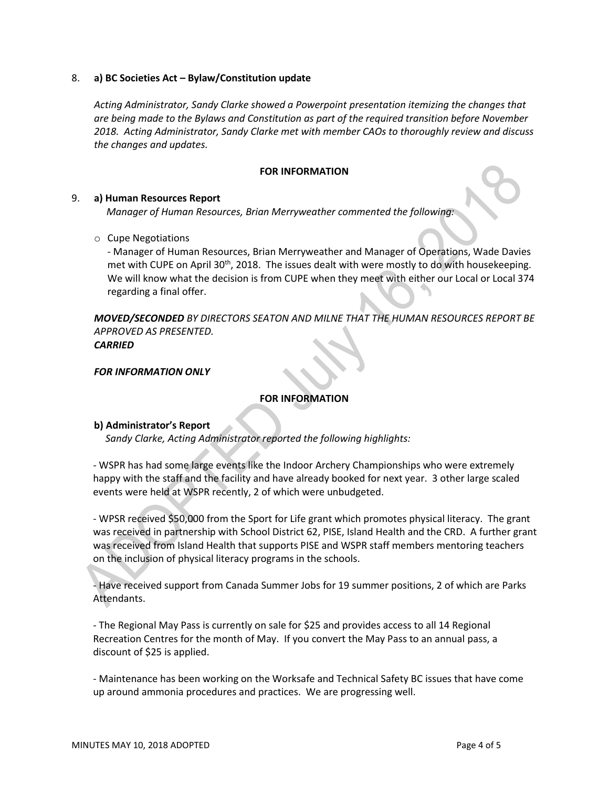#### 8. **a) BC Societies Act – Bylaw/Constitution update**

*Acting Administrator, Sandy Clarke showed a Powerpoint presentation itemizing the changes that are being made to the Bylaws and Constitution as part of the required transition before November 2018. Acting Administrator, Sandy Clarke met with member CAOs to thoroughly review and discuss the changes and updates.*

#### **FOR INFORMATION**

#### 9. **a) Human Resources Report**

*Manager of Human Resources, Brian Merryweather commented the following:*

#### o Cupe Negotiations

- Manager of Human Resources, Brian Merryweather and Manager of Operations, Wade Davies met with CUPE on April 30<sup>th</sup>, 2018. The issues dealt with were mostly to do with housekeeping. We will know what the decision is from CUPE when they meet with either our Local or Local 374 regarding a final offer.

*MOVED/SECONDED BY DIRECTORS SEATON AND MILNE THAT THE HUMAN RESOURCES REPORT BE APPROVED AS PRESENTED. CARRIED*

# *FOR INFORMATION ONLY*

# **FOR INFORMATION**

# **b) Administrator's Report**

 *Sandy Clarke, Acting Administrator reported the following highlights:* 

*-* WSPR has had some large events like the Indoor Archery Championships who were extremely happy with the staff and the facility and have already booked for next year. 3 other large scaled events were held at WSPR recently, 2 of which were unbudgeted.

- WPSR received \$50,000 from the Sport for Life grant which promotes physical literacy. The grant was received in partnership with School District 62, PISE, Island Health and the CRD. A further grant was received from Island Health that supports PISE and WSPR staff members mentoring teachers on the inclusion of physical literacy programs in the schools.

- Have received support from Canada Summer Jobs for 19 summer positions, 2 of which are Parks Attendants.

- The Regional May Pass is currently on sale for \$25 and provides access to all 14 Regional Recreation Centres for the month of May. If you convert the May Pass to an annual pass, a discount of \$25 is applied.

- Maintenance has been working on the Worksafe and Technical Safety BC issues that have come up around ammonia procedures and practices. We are progressing well.